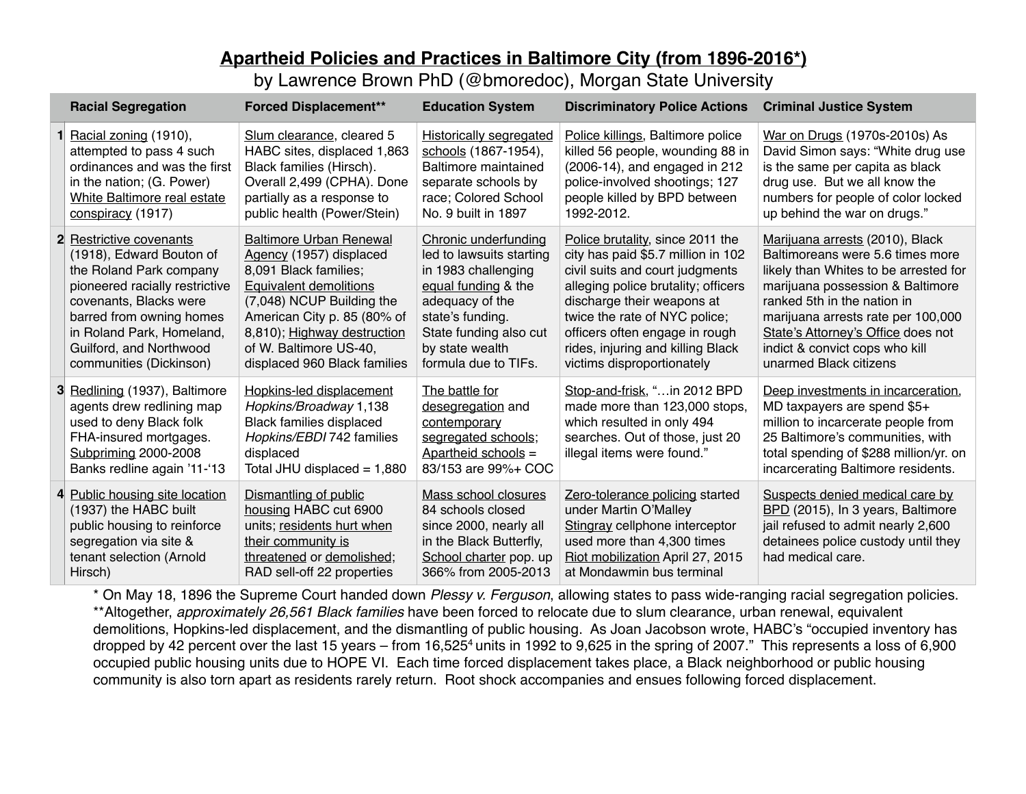## **Apartheid Policies and Practices in Baltimore City (from 1896-2016\*)**

by Lawrence Brown PhD (@bmoredoc), Morgan State University

| <b>Racial Segregation</b>                                                                                                                                                                                                                                 | <b>Forced Displacement**</b>                                                                                                                                                                                                                                             | <b>Education System</b>                                                                                                                                                                                    | <b>Discriminatory Police Actions</b>                                                                                                                                                                                                                                                                                 | <b>Criminal Justice System</b>                                                                                                                                                                                                                                                                                          |
|-----------------------------------------------------------------------------------------------------------------------------------------------------------------------------------------------------------------------------------------------------------|--------------------------------------------------------------------------------------------------------------------------------------------------------------------------------------------------------------------------------------------------------------------------|------------------------------------------------------------------------------------------------------------------------------------------------------------------------------------------------------------|----------------------------------------------------------------------------------------------------------------------------------------------------------------------------------------------------------------------------------------------------------------------------------------------------------------------|-------------------------------------------------------------------------------------------------------------------------------------------------------------------------------------------------------------------------------------------------------------------------------------------------------------------------|
| Racial zoning (1910),<br>attempted to pass 4 such<br>ordinances and was the first<br>in the nation; (G. Power)<br>White Baltimore real estate<br>conspiracy (1917)                                                                                        | Slum clearance, cleared 5<br>HABC sites, displaced 1,863<br>Black families (Hirsch).<br>Overall 2,499 (CPHA). Done<br>partially as a response to<br>public health (Power/Stein)                                                                                          | Historically segregated<br>schools (1867-1954),<br>Baltimore maintained<br>separate schools by<br>race; Colored School<br>No. 9 built in 1897                                                              | Police killings, Baltimore police<br>killed 56 people, wounding 88 in<br>(2006-14), and engaged in 212<br>police-involved shootings; 127<br>people killed by BPD between<br>1992-2012.                                                                                                                               | War on Drugs (1970s-2010s) As<br>David Simon says: "White drug use<br>is the same per capita as black<br>drug use. But we all know the<br>numbers for people of color locked<br>up behind the war on drugs."                                                                                                            |
| 2 Restrictive covenants<br>(1918), Edward Bouton of<br>the Roland Park company<br>pioneered racially restrictive<br>covenants, Blacks were<br>barred from owning homes<br>in Roland Park, Homeland,<br>Guilford, and Northwood<br>communities (Dickinson) | <b>Baltimore Urban Renewal</b><br>Agency (1957) displaced<br>8,091 Black families;<br><b>Equivalent demolitions</b><br>(7,048) NCUP Building the<br>American City p. 85 (80% of<br>8,810); Highway destruction<br>of W. Baltimore US-40,<br>displaced 960 Black families | Chronic underfunding<br>led to lawsuits starting<br>in 1983 challenging<br>equal funding & the<br>adequacy of the<br>state's funding.<br>State funding also cut<br>by state wealth<br>formula due to TIFs. | Police brutality, since 2011 the<br>city has paid \$5.7 million in 102<br>civil suits and court judgments<br>alleging police brutality; officers<br>discharge their weapons at<br>twice the rate of NYC police;<br>officers often engage in rough<br>rides, injuring and killing Black<br>victims disproportionately | Marijuana arrests (2010), Black<br>Baltimoreans were 5.6 times more<br>likely than Whites to be arrested for<br>marijuana possession & Baltimore<br>ranked 5th in the nation in<br>marijuana arrests rate per 100,000<br>State's Attorney's Office does not<br>indict & convict cops who kill<br>unarmed Black citizens |
| 3 Redlining (1937), Baltimore<br>agents drew redlining map<br>used to deny Black folk<br>FHA-insured mortgages.<br>Subpriming 2000-2008<br>Banks redline again '11-'13                                                                                    | Hopkins-led displacement<br>Hopkins/Broadway 1,138<br><b>Black families displaced</b><br>Hopkins/EBDI 742 families<br>displaced<br>Total JHU displaced $= 1,880$                                                                                                         | The battle for<br>desegregation and<br>contemporary<br>segregated schools;<br>Apartheid schools =<br>83/153 are 99%+ COC                                                                                   | Stop-and-frisk, "in 2012 BPD<br>made more than 123,000 stops,<br>which resulted in only 494<br>searches. Out of those, just 20<br>illegal items were found."                                                                                                                                                         | Deep investments in incarceration,<br>MD taxpayers are spend \$5+<br>million to incarcerate people from<br>25 Baltimore's communities, with<br>total spending of \$288 million/yr. on<br>incarcerating Baltimore residents.                                                                                             |
| 4 Public housing site location<br>(1937) the HABC built<br>public housing to reinforce<br>segregation via site &<br>tenant selection (Arnold<br>Hirsch)                                                                                                   | Dismantling of public<br>housing HABC cut 6900<br>units; residents hurt when<br>their community is<br>threatened or demolished;<br>RAD sell-off 22 properties                                                                                                            | Mass school closures<br>84 schools closed<br>since 2000, nearly all<br>in the Black Butterfly,<br>School charter pop. up<br>366% from 2005-2013                                                            | Zero-tolerance policing started<br>under Martin O'Malley<br>Stingray cellphone interceptor<br>used more than 4,300 times<br>Riot mobilization April 27, 2015<br>at Mondawmin bus terminal                                                                                                                            | Suspects denied medical care by<br>BPD (2015), In 3 years, Baltimore<br>jail refused to admit nearly 2,600<br>detainees police custody until they<br>had medical care.                                                                                                                                                  |

\* On May 18, 1896 the Supreme Court handed down *Plessy v. Ferguson*, allowing states to pass wide-ranging racial segregation policies. \*\*Altogether, *approximately 26,561 Black families* have been forced to relocate due to slum clearance, urban renewal, equivalent demolitions, Hopkins-led displacement, and the dismantling of public housing. As Joan Jacobson wrote, HABC's "occupied inventory has dropped by 42 percent over the last 15 years – from 16,525<sup>4</sup> units in 1992 to 9,625 in the spring of 2007." This represents a loss of 6,900 occupied public housing units due to HOPE VI. Each time forced displacement takes place, a Black neighborhood or public housing community is also torn apart as residents rarely return. Root shock accompanies and ensues following forced displacement.